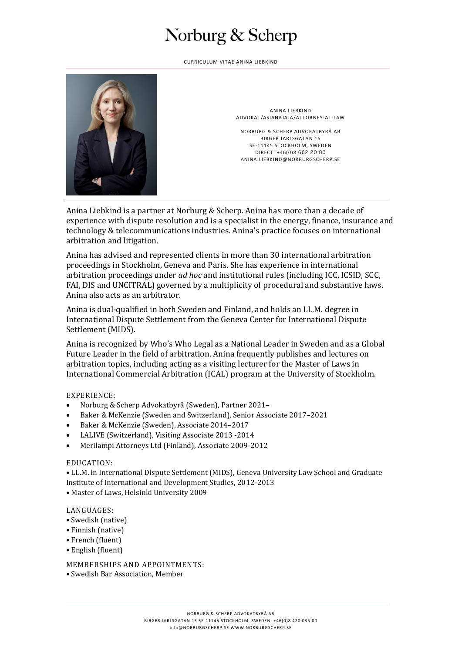## Norburg & Scherp

CURRICULUM VITAE ANINA LIEBKIND



ANINA LIEBKIND ADVOKAT/ASIANAJAJA/ATTORNEY-AT-LAW

NORBURG & SCHERP ADVOKATBYRÅ AB BIRGER JARLSGATAN 15 SE-11145 STOCKHOLM, SWEDEN DIRECT: +46(0)8 662 20 80 ANINA.LIEBKIND@NORBURGSCHERP.SE

Anina Liebkind is a partner at Norburg & Scherp. Anina has more than a decade of experience with dispute resolution and is a specialist in the energy, finance, insurance and technology & telecommunications industries. Anina's practice focuses on international arbitration and litigation.

Anina has advised and represented clients in more than 30 international arbitration proceedings in Stockholm, Geneva and Paris. She has experience in international arbitration proceedings under *ad hoc* and institutional rules (including ICC, ICSID, SCC, FAI, DIS and UNCITRAL) governed by a multiplicity of procedural and substantive laws. Anina also acts as an arbitrator.

Anina is dual-qualified in both Sweden and Finland, and holds an LL.M. degree in International Dispute Settlement from the Geneva Center for International Dispute Settlement (MIDS).

Anina is recognized by Who's Who Legal as a National Leader in Sweden and as a Global Future Leader in the field of arbitration. Anina frequently publishes and lectures on arbitration topics, including acting as a visiting lecturer for the Master of Laws in International Commercial Arbitration (ICAL) program at the University of Stockholm.

### EXPERIENCE:

- Norburg & Scherp Advokatbyrå (Sweden), Partner 2021–
- Baker & McKenzie (Sweden and Switzerland), Senior Associate 2017–2021
- Baker & McKenzie (Sweden), Associate 2014–2017
- LALIVE (Switzerland), Visiting Associate 2013 -2014
- Merilampi Attorneys Ltd (Finland), Associate 2009-2012

#### EDUCATION:

• LL.M. in International Dispute Settlement (MIDS), Geneva University Law School and Graduate Institute of International and Development Studies, 2012-2013

• Master of Laws, Helsinki University 2009

#### LANGUAGES:

- Swedish (native)
- Finnish (native)
- French (fluent)
- English (fluent)

MEMBERSHIPS AND APPOINTMENTS:

• Swedish Bar Association, Member